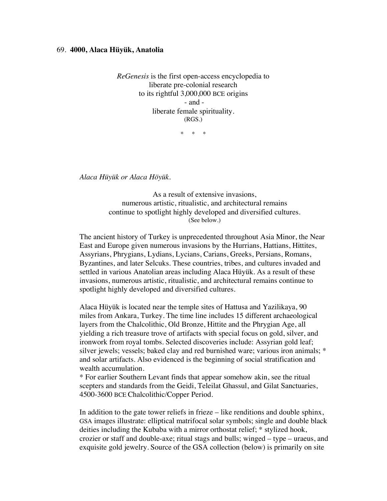## 69. **4000, Alaca Hüyük, Anatolia**

*ReGenesis* is the first open-access encyclopedia to liberate pre-colonial research to its rightful 3,000,000 BCE origins - and liberate female spirituality. (RGS.)

\* \* \*

*Alaca Hüyük or Alaca Höyük.*

As a result of extensive invasions, numerous artistic, ritualistic, and architectural remains continue to spotlight highly developed and diversified cultures. (See below.)

The ancient history of Turkey is unprecedented throughout Asia Minor, the Near East and Europe given numerous invasions by the Hurrians, Hattians, Hittites, Assyrians, Phrygians, Lydians, Lycians, Carians, Greeks, Persians, Romans, Byzantines, and later Selcuks. These countries, tribes, and cultures invaded and settled in various Anatolian areas including Alaca Hüyük. As a result of these invasions, numerous artistic, ritualistic, and architectural remains continue to spotlight highly developed and diversified cultures.

Alaca Hüyük is located near the temple sites of Hattusa and Yazilikaya, 90 miles from Ankara, Turkey. The time line includes 15 different archaeological layers from the Chalcolithic, Old Bronze, Hittite and the Phrygian Age, all yielding a rich treasure trove of artifacts with special focus on gold, silver, and ironwork from royal tombs. Selected discoveries include: Assyrian gold leaf; silver jewels; vessels; baked clay and red burnished ware; various iron animals; \* and solar artifacts. Also evidenced is the beginning of social stratification and wealth accumulation.

\* For earlier Southern Levant finds that appear somehow akin, see the ritual scepters and standards from the Geidi, Teleilat Ghassul, and Gilat Sanctuaries, 4500-3600 BCE Chalcolithic/Copper Period.

In addition to the gate tower reliefs in frieze – like renditions and double sphinx, GSA images illustrate: elliptical matrifocal solar symbols; single and double black deities including the Kubaba with a mirror orthostat relief; \* stylized hook, crozier or staff and double-axe; ritual stags and bulls; winged – type – uraeus, and exquisite gold jewelry. Source of the GSA collection (below) is primarily on site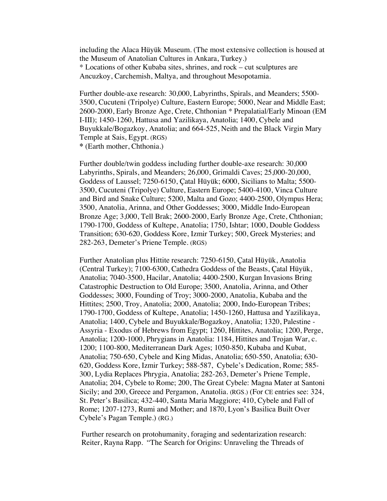including the Alaca Hüyük Museum. (The most extensive collection is housed at the Museum of Anatolian Cultures in Ankara, Turkey.) \* Locations of other Kubaba sites, shrines, and rock – cut sculptures are Ancuzkoy, Carchemish, Maltya, and throughout Mesopotamia.

Further double-axe research: 30,000, Labyrinths, Spirals, and Meanders; 5500- 3500, Cucuteni (Tripolye) Culture, Eastern Europe; 5000, Near and Middle East; 2600-2000, Early Bronze Age, Crete, Chthonian \* Prepalatial/Early Minoan (EM I-III); 1450-1260, Hattusa and Yazilikaya, Anatolia; 1400, Cybele and Buyukkale/Bogazkoy, Anatolia; and 664-525, Neith and the Black Virgin Mary Temple at Sais, Egypt. (RGS) **\*** (Earth mother, Chthonia.)

Further double/twin goddess including further double-axe research: 30,000 Labyrinths, Spirals, and Meanders; 26,000, Grimaldi Caves; 25,000-20,000, Goddess of Laussel; 7250-6150, Çatal Hüyük; 6000, Sicilians to Malta; 5500- 3500, Cucuteni (Tripolye) Culture, Eastern Europe; 5400-4100, Vinca Culture and Bird and Snake Culture; 5200, Malta and Gozo; 4400-2500, Olympus Hera; 3500, Anatolia, Arinna, and Other Goddesses; 3000, Middle Indo-European Bronze Age; 3,000, Tell Brak; 2600-2000, Early Bronze Age, Crete, Chthonian; 1790-1700, Goddess of Kultepe, Anatolia; 1750, Ishtar; 1000, Double Goddess Transition; 630-620, Goddess Kore, Izmir Turkey; 500, Greek Mysteries; and 282-263, Demeter's Priene Temple. (RGS)

Further Anatolian plus Hittite research: 7250-6150, Çatal Hüyük, Anatolia (Central Turkey); 7100-6300, Cathedra Goddess of the Beasts, Çatal Hüyük, Anatolia; 7040-3500, Hacilar, Anatolia; 4400-2500, Kurgan Invasions Bring Catastrophic Destruction to Old Europe; 3500, Anatolia, Arinna, and Other Goddesses; 3000, Founding of Troy; 3000-2000, Anatolia, Kubaba and the Hittites; 2500, Troy, Anatolia; 2000, Anatolia; 2000, Indo-European Tribes; 1790-1700, Goddess of Kultepe, Anatolia; 1450-1260, Hattusa and Yazilikaya, Anatolia; 1400, Cybele and Buyukkale/Bogazkoy, Anatolia; 1320, Palestine - Assyria - Exodus of Hebrews from Egypt; 1260, Hittites, Anatolia; 1200, Perge, Anatolia; 1200-1000, Phrygians in Anatolia: 1184, Hittites and Trojan War, c. 1200; 1100-800, Mediterranean Dark Ages; 1050-850, Kubaba and Kubat, Anatolia; 750-650, Cybele and King Midas, Anatolia; 650-550, Anatolia; 630- 620, Goddess Kore, Izmir Turkey; 588-587, Cybele's Dedication, Rome; 585- 300, Lydia Replaces Phrygia, Anatolia; 282-263, Demeter's Priene Temple, Anatolia; 204, Cybele to Rome; 200, The Great Cybele: Magna Mater at Santoni Sicily; and 200, Greece and Pergamon, Anatolia. (RGS.) (For CE entries see: 324, St. Peter's Basilica; 432-440, Santa Maria Maggiore; 410, Cybele and Fall of Rome; 1207-1273, Rumi and Mother; and 1870, Lyon's Basilica Built Over Cybele's Pagan Temple.) (RG.)

Further research on protohumanity, foraging and sedentarization research: Reiter, Rayna Rapp. "The Search for Origins: Unraveling the Threads of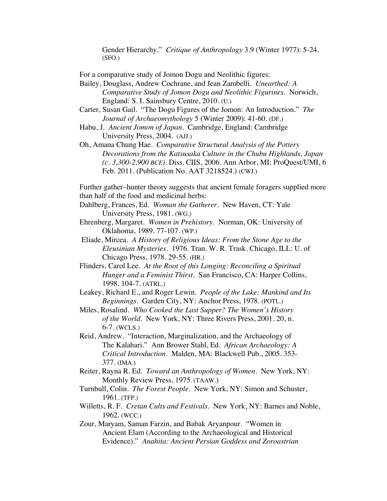Gender Hierarchy." *Critique of Anthropology* 3.9 (Winter 1977): 5-24. (SFO.)

For a comparative study of Jomon Dogu and Neolithic figures:

- Bailey, Douglass, Andrew Cochrane, and Jean Zambelli. *Unearthed: A Comparative Study of Jomon Dogu and Neolithic Figurines*. Norwich, England: S. I. Sainsbury Centre, 2010. (U.)
- Carter, Susan Gail. "The Dogu Figures of the Jomon: An Introduction." *The Journal of Archaeomythology* 5 (Winter 2009): 41-60. (DF.)
- Habu, J. *Ancient Jomon of Japan*. Cambridge, England: Cambridge University Press, 2004. (AJJ.)
- Oh, Amana Chung Hae. *Comparative Structural Analysis of the Pottery Decorations from the Katsusaka Culture in the Chubu Highlands, Japan (c. 3,300-2,900 BCE)*. Diss. CIIS, 2006. Ann Arbor, MI: ProQuest/UMI, 6 Feb. 2011. (Publication No. AAT 3218524.) (CWJ.)

Further gather–hunter theory suggests that ancient female foragers supplied more than half of the food and medicinal herbs:

- Dahlberg, Frances, Ed. *Woman the Gatherer.* New Haven, CT: Yale University Press, 1981. (WG.)
- Ehrenberg, Margaret. *Women in Prehistory*. Norman, OK: University of Oklahoma, 1989. 77-107. (WP.)
- Eliade, Mircea. *A History of Religious Ideas: From the Stone Age to the Eleusinian Mysteries.* 1976. Tran. W. R. Trask. Chicago, ILL: U. of Chicago Press, 1978. 29-55. (HR.)
- Flinders, Carol Lee. *At the Root of this Longing: Reconciling a Spiritual Hunger and a Feminist Thirst*. San Francisco, CA: Harper Collins, 1998. 104-7. (ATRL.)
- Leakey, Richard E., and Roger Lewin. *People of the Lake: Mankind and Its Beginnings*. Garden City, NY: Anchor Press, 1978. (POTL.)
- Miles, Rosalind. *Who Cooked the Last Supper? The Women's History of the World*. New York, NY: Three Rivers Press, 2001. 20, n. 6-7. (WCLS.)
- Reid, Andrew. "Interaction, Marginalization, and the Archaeology of The Kalahari." Ann Brower Stahl, Ed. *African Archaeology: A Critical Introduction*. Malden, MA: Blackwell Pub., 2005. 353- 377. (IMA.)
- Reiter, Rayna R. Ed. *Toward an Anthropology of Women*. New York, NY: Monthly Review Press, 1975. (TAAW.)
- Turnbull, Colin. *The Forest People*. New York, NY: Simon and Schuster, 1961. (TFP.)
- Willetts, R. F. *Cretan Cults and Festivals*. New York, NY: Barnes and Noble, 1962. (WCC.)
- Zour, Maryam, Saman Farzin, and Babak Aryanpour. "Women in Ancient Elam (According to the Archaeological and Historical Evidence)." *Anahita: Ancient Persian Goddess and Zoroastrian*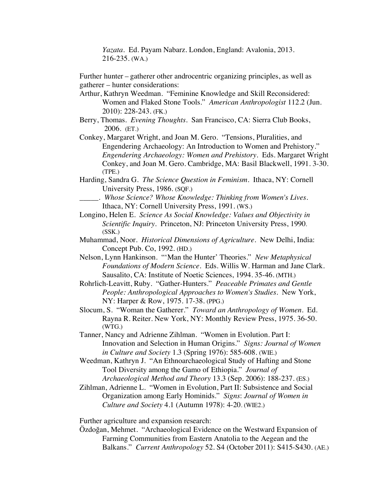*Yazata.* Ed. Payam Nabarz. London, England: Avalonia, 2013. 216-235. (WA.)

Further hunter – gatherer other androcentric organizing principles, as well as gatherer – hunter considerations:

- Arthur, Kathryn Weedman. "Feminine Knowledge and Skill Reconsidered: Women and Flaked Stone Tools." *American Anthropologist* 112.2 (Jun. 2010): 228-243. (FK.)
- Berry, Thomas. *Evening Thoughts.* San Francisco, CA: Sierra Club Books, 2006. (ET.)
- Conkey, Margaret Wright, and Joan M. Gero. "Tensions, Pluralities, and Engendering Archaeology: An Introduction to Women and Prehistory." *Engendering Archaeology: Women and Prehistory*. Eds. Margaret Wright Conkey, and Joan M. Gero. Cambridge, MA: Basil Blackwell, 1991. 3-30. (TPE.)
- Harding, Sandra G. *The Science Question in Feminism*. Ithaca, NY: Cornell University Press, 1986. (SQF.)
- \_\_\_\_\_. *Whose Science? Whose Knowledge: Thinking from Women's Lives.* Ithaca, NY: Cornell University Press, 1991. (WS.)
- Longino, Helen E. *Science As Social Knowledge: Values and Objectivity in Scientific Inquiry.* Princeton, NJ: Princeton University Press, 1990. (SSK.)
- Muhammad, Noor. *Historical Dimensions of Agriculture*. New Delhi, India: Concept Pub. Co, 1992. (HD.)
- Nelson, Lynn Hankinson. "'Man the Hunter' Theories." *New Metaphysical Foundations of Modern Science.* Eds. Willis W. Harman and Jane Clark. Sausalito, CA: Institute of Noetic Sciences, 1994. 35-46. (MTH.)
- Rohrlich-Leavitt, Ruby. "Gather-Hunters." *Peaceable Primates and Gentle People: Anthropological Approaches to Women's Studies*. New York, NY: Harper & Row, 1975. 17-38. (PPG.)
- Slocum, S. "Woman the Gatherer." *Toward an Anthropology of Women*. Ed. Rayna R. Reiter. New York, NY: Monthly Review Press, 1975. 36-50. (WTG.)
- Tanner, Nancy and Adrienne Zihlman. "Women in Evolution. Part I: Innovation and Selection in Human Origins." *Signs: Journal of Women in Culture and Society* 1.3 (Spring 1976): 585-608. (WIE.)
- Weedman, Kathryn J. "An Ethnoarchaeological Study of Hafting and Stone Tool Diversity among the Gamo of Ethiopia." *Journal of Archaeological Method and Theory* 13.3 (Sep. 2006): 188-237. (ES.)
- Zihlman, Adrienne L. "Women in Evolution, Part II: Subsistence and Social Organization among Early Hominids." *Signs*: *Journal of Women in Culture and Society* 4.1 (Autumn 1978): 4-20. (WIE2.)

Further agriculture and expansion research:

Özdoğan, Mehmet. "Archaeological Evidence on the Westward Expansion of Farming Communities from Eastern Anatolia to the Aegean and the Balkans." *Current Anthropology* 52. S4 (October 2011): S415-S430. (AE.)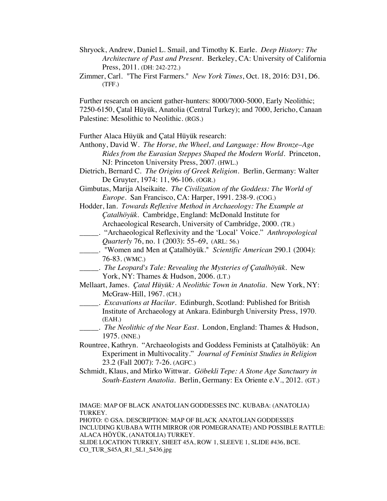Shryock, Andrew, Daniel L. Smail, and Timothy K. Earle. *Deep History: The Architecture of Past and Present*. Berkeley, CA: University of California Press, 2011. (DH: 242-272.)

Zimmer, Carl. "The First Farmers." *New York Times*, Oct. 18, 2016: D31, D6. (TFF.)

Further research on ancient gather-hunters: 8000/7000-5000, Early Neolithic; 7250-6150, Çatal Hüyük, Anatolia (Central Turkey); and 7000, Jericho, Canaan Palestine: Mesolithic to Neolithic. (RGS.)

Further Alaca Hüyük and Çatal Hüyük research:

Anthony, David W. *The Horse, the Wheel, and Language: How Bronze*–*Age Rides from the Eurasian Steppes Shaped the Modern World*. Princeton, NJ: Princeton University Press, 2007. (HWL.)

Dietrich, Bernard C. *The Origins of Greek Religion.* Berlin, Germany: Walter De Gruyter, 1974: 11, 96-106. (OGR.)

Gimbutas, Marija Alseikaite. *The Civilization of the Goddess: The World of Europe*. San Francisco, CA: Harper, 1991. 238-9. (COG.)

Hodder, Ian. *Towards Reflexive Method in Archaeology: The Example at Çatalhöyük*. Cambridge, England: McDonald Institute for Archaeological Research, University of Cambridge, 2000. (TR.)

- \_\_\_\_\_. "Archaeological Reflexivity and the 'Local' Voice." *Anthropological Quarterly* 76, no. 1 (2003): 55–69, (ARL: 56.)
- \_\_\_\_\_. "Women and Men at Çatalhöyük." *Scientific American* 290.1 (2004): 76-83. (WMC.)
- \_\_\_\_\_. *The Leopard's Tale: Revealing the Mysteries of Çatalhöyük*. New York, NY: Thames & Hudson, 2006. (LT.)
- Mellaart, James. *Çatal Hüyük: A Neolithic Town in Anatolia*. New York, NY: McGraw-Hill, 1967. (CH.)
- \_\_\_\_\_. *Excavations at Hacilar.* Edinburgh, Scotland: Published for British Institute of Archaeology at Ankara. Edinburgh University Press, 1970. (EAH.)
- \_\_\_\_\_. *The Neolithic of the Near East.* London, England: Thames & Hudson, 1975. (NNE.)
- Rountree, Kathryn. "Archaeologists and Goddess Feminists at Çatalhöyük: An Experiment in Multivocality." *Journal of Feminist Studies in Religion* 23.2 (Fall 2007): 7-26. (AGFC.)

IMAGE: MAP OF BLACK ANATOLIAN GODDESSES INC. KUBABA: (ANATOLIA) TURKEY. PHOTO: © GSA. DESCRIPTION: MAP OF BLACK ANATOLIAN GODDESSES

INCLUDING KUBABA WITH MIRROR (OR POMEGRANATE) AND POSSIBLE RATTLE: ALACA HÖYÜK, (ANATOLIA) TURKEY. SLIDE LOCATION TURKEY, SHEET 45A, ROW 1, SLEEVE 1, SLIDE #436, BCE. CO\_TUR\_S45A\_R1\_SL1\_S436.jpg

Schmidt, Klaus, and Mirko Wittwar. *Göbekli Tepe: A Stone Age Sanctuary in South-Eastern Anatolia*. Berlin, Germany: Ex Oriente e.V., 2012. (GT.)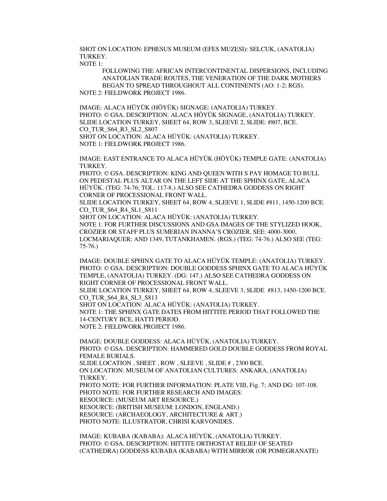SHOT ON LOCATION: EPHESUS MUSEUM (EFES MUZESI): SELCUK, (ANATOLIA) TURKEY.

NOTE 1:

FOLLOWING THE AFRICAN INTERCONTINENTAL DISPERSIONS, INCLUDING ANATOLIAN TRADE ROUTES, THE VENERATION OF THE DARK MOTHERS BEGAN TO SPREAD THROUGHOUT ALL CONTINENTS (AO: 1-2; RGS). NOTE 2: FIELDWORK PROJECT 1986.

IMAGE: ALACA HÜYÜK (HÖYÜK) SIGNAGE: (ANATOLIA) TURKEY. PHOTO: © GSA. DESCRIPTION: ALACA HÖYÜK SIGNAGE, (ANATOLIA) TURKEY. SLIDE LOCATION TURKEY, SHEET 64, ROW 3, SLEEVE 2, SLIDE: #807, BCE. CO\_TUR\_S64\_R3\_SL2\_S807 SHOT ON LOCATION: ALACA HÜYÜK: (ANATOLIA) TURKEY. NOTE 1: FIELDWORK PROJECT 1986.

IMAGE: EAST ENTRANCE TO ALACA HÜYÜK (HÖYÜK) TEMPLE GATE: (ANATOLIA) TURKEY.

PHOTO: © GSA. DESCRIPTION: KING AND QUEEN WITH S PAY HOMAGE TO BULL ON PEDESTAL PLUS ALTAR ON THE LEFT SIDE AT THE SPHINX GATE, ALACA HÜYÜK. (TEG: 74-76; TOL: 117-8.) ALSO SEE CATHEDRA GODDESS ON RIGHT CORNER OF PROCESSIONAL FRONT WALL.

SLIDE LOCATION TURKEY, SHEET 64, ROW 4, SLEEVE 1, SLIDE #811, 1450-1200 BCE. CO\_TUR\_S64\_R4\_SL1\_S811

SHOT ON LOCATION: ALACA HÜYÜK: (ANATOLIA) TURKEY. NOTE 1: FOR FURTHER DISCUSSIONS AND GSA IMAGES OF THE STYLIZED HOOK, CROZIER OR STAFF PLUS SUMERIAN INANNA'S CROZIER, SEE: 4000-3000, LOCMARIAQUER; AND 1349, TUTANKHAMEN. (RGS.) (TEG: 74-76.) ALSO SEE (TEG: 75-76.)

IMAGE: DOUBLE SPHINX GATE TO ALACA HÜYÜK TEMPLE: (ANATOLIA) TURKEY. PHOTO: © GSA. DESCRIPTION: DOUBLE GODDESS SPHINX GATE TO ALACA HÜYÜK TEMPLE, (ANATOLIA) TURKEY. (DG: 147.) ALSO SEE CATHEDRA GODDESS ON RIGHT CORNER OF PROCESSIONAL FRONT WALL. SLIDE LOCATION TURKEY, SHEET 64, ROW 4, SLEEVE 3, SLIDE #813, 1450-1200 BCE. CO\_TUR\_S64\_R4\_SL3\_S813 SHOT ON LOCATION: ALACA HÜYÜK: (ANATOLIA) TURKEY. NOTE 1: THE SPHINX GATE DATES FROM HITTITE PERIOD THAT FOLLOWED THE 14-CENTURY BCE, HATTI PERIOD. NOTE 2: FIELDWORK PROJECT 1986.

IMAGE: DOUBLE GODDESS: ALACA HÜYÜK, (ANATOLIA) TURKEY. PHOTO: © GSA. DESCRIPTION: HAMMERED GOLD DOUBLE GODDESS FROM ROYAL FEMALE BURIALS. SLIDE LOCATION , SHEET , ROW , SLEEVE , SLIDE # , 2300 BCE. ON LOCATION: MUSEUM OF ANATOLIAN CULTURES: ANKARA, (ANATOLIA) TURKEY. PHOTO NOTE: FOR FURTHER INFORMATION: PLATE VIII, Fig. 7; AND DG: 107-108. PHOTO NOTE: FOR FURTHER RESEARCH AND IMAGES: RESOURCE: (MUSEUM ART RESOURCE.) RESOURCE: (BRITISH MUSEUM: LONDON, ENGLAND.) RESOURCE: (ARCHAEOLOGY, ARCHITECTURE & ART.) PHOTO NOTE: ILLUSTRATOR, CHRISI KARVONIDES.

IMAGE: KUBABA (KABABA): ALACA HÜYÜK, (ANATOLIA) TURKEY. PHOTO: © GSA. DESCRIPTION: HITTITE ORTHOSTAT RELIEF OF SEATED (CATHEDRA) GODDESS KUBABA (KABABA) WITH MIRROR (OR POMEGRANATE)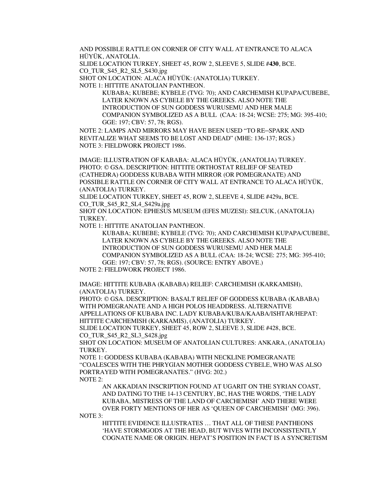AND POSSIBLE RATTLE ON CORNER OF CITY WALL AT ENTRANCE TO ALACA HÜYÜK, ANATOLIA.

SLIDE LOCATION TURKEY, SHEET 45, ROW 2, SLEEVE 5, SLIDE #**430**, BCE. CO\_TUR\_S45\_R2\_SL5\_S430.jpg

SHOT ON LOCATION: ALACA HÜYÜK: (ANATOLIA) TURKEY.

NOTE 1: HITTITE ANATOLIAN PANTHEON.

KUBABA; KUBEBE; KYBELE (TVG: 70); AND CARCHEMISH KUPAPA/CUBEBE, LATER KNOWN AS CYBELE BY THE GREEKS. ALSO NOTE THE INTRODUCTION OF SUN GODDESS WURUSEMU AND HER MALE COMPANION SYMBOLIZED AS A BULL (CAA: 18-24; WCSE: 275; MG: 395-410; GGE: 197; CBV: 57, 78; RGS).

NOTE 2: LAMPS AND MIRRORS MAY HAVE BEEN USED "TO RE–SPARK AND REVITALIZE WHAT SEEMS TO BE LOST AND DEAD" (MHE: 136-137; RGS.) NOTE 3: FIELDWORK PROJECT 1986.

IMAGE: ILLUSTRATION OF KABABA: ALACA HÜYÜK, (ANATOLIA) TURKEY. PHOTO: © GSA. DESCRIPTION: HITTITE ORTHOSTAT RELIEF OF SEATED (CATHEDRA) GODDESS KUBABA WITH MIRROR (OR POMEGRANATE) AND POSSIBLE RATTLE ON CORNER OF CITY WALL AT ENTRANCE TO ALACA HÜYÜK, (ANATOLIA) TURKEY.

SLIDE LOCATION TURKEY, SHEET 45, ROW 2, SLEEVE 4, SLIDE #429a, BCE. CO\_TUR\_S45\_R2\_SL4\_S429a.jpg

SHOT ON LOCATION: EPHESUS MUSEUM (EFES MUZESI): SELCUK, (ANATOLIA) TURKEY.

NOTE 1: HITTITE ANATOLIAN PANTHEON.

KUBABA; KUBEBE; KYBELE (TVG: 70); AND CARCHEMISH KUPAPA/CUBEBE, LATER KNOWN AS CYBELE BY THE GREEKS. ALSO NOTE THE INTRODUCTION OF SUN GODDESS WURUSEMU AND HER MALE COMPANION SYMBOLIZED AS A BULL (CAA: 18-24; WCSE: 275; MG: 395-410; GGE: 197; CBV: 57, 78; RGS). (SOURCE: ENTRY ABOVE.)

NOTE 2: FIELDWORK PROJECT 1986.

IMAGE: HITTITE KUBABA (KABABA) RELIEF: CARCHEMISH (KARKAMISH), (ANATOLIA) TURKEY.

PHOTO: © GSA. DESCRIPTION: BASALT RELIEF OF GODDESS KUBABA (KABABA) WITH POMEGRANATE AND A HIGH POLOS HEADDRESS. ALTERNATIVE APPELLATIONS OF KUBABA INC. LADY KUBABA/KUBA/KAABA/ISHTAR/HEPAT: HITTITE CARCHEMISH (KARKAMIS), (ANATOLIA) TURKEY.

SLIDE LOCATION TURKEY, SHEET 45, ROW 2, SLEEVE 3, SLIDE #428, BCE. CO\_TUR\_S45\_R2\_SL3\_S428.jpg

SHOT ON LOCATION: MUSEUM OF ANATOLIAN CULTURES: ANKARA, (ANATOLIA) TURKEY.

NOTE 1: GODDESS KUBABA (KABABA) WITH NECKLINE POMEGRANATE "COALESCES WITH THE PHRYGIAN MOTHER GODDESS CYBELE, WHO WAS ALSO PORTRAYED WITH POMEGRANATES." (HVG: 202.) NOTE 2:

AN AKKADIAN INSCRIPTION FOUND AT UGARIT ON THE SYRIAN COAST, AND DATING TO THE 14-13 CENTURY, BC, HAS THE WORDS, 'THE LADY KUBABA, MISTRESS OF THE LAND OF CARCHEMISH' AND THERE WERE OVER FORTY MENTIONS OF HER AS 'QUEEN OF CARCHEMISH' (MG: 396).

NOTE 3:

HITTITE EVIDENCE ILLUSTRATES … THAT ALL OF THESE PANTHEONS 'HAVE STORMGODS AT THE HEAD, BUT WIVES WITH INCONSISTENTLY COGNATE NAME OR ORIGIN. HEPAT'S POSITION IN FACT IS A SYNCRETISM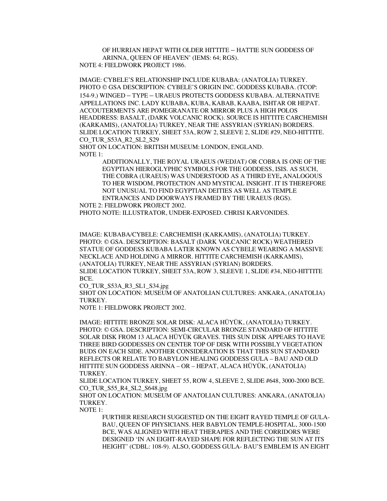OF HURRIAN HEPAT WITH OLDER HITTITE – HATTIE SUN GODDESS OF ARINNA, QUEEN OF HEAVEN' (IEMS: 64; RGS). NOTE 4: FIELDWORK PROJECT 1986.

IMAGE: CYBELE'S RELATIONSHIP INCLUDE KUBABA: (ANATOLIA) TURKEY. PHOTO © GSA DESCRIPTION: CYBELE'S ORIGIN INC. GODDESS KUBABA. (TCOP: 154-9.) WINGED – TYPE – URAEUS PROTECTS GODDESS KUBABA. ALTERNATIVE APPELLATIONS INC. LADY KUBABA, KUBA, KABAB, KAABA, ISHTAR OR HEPAT. ACCOUTERMENTS ARE POMEGRANATE OR MIRROR PLUS A HIGH POLOS HEADDRESS: BASALT, (DARK VOLCANIC ROCK). SOURCE IS HITTITE CARCHEMISH (KARKAMIS), (ANATOLIA) TURKEY, NEAR THE ASSYRIAN (SYRIAN) BORDERS. SLIDE LOCATION TURKEY, SHEET 53A, ROW 2, SLEEVE 2, SLIDE #29, NEO-HITTITE. CO\_TUR\_S53A\_R2\_SL2\_S29

SHOT ON LOCATION: BRITISH MUSEUM: LONDON, ENGLAND. NOTE 1:

> ADDITIONALLY, THE ROYAL URAEUS (WEDJAT*)* OR COBRA IS ONE OF THE EGYPTIAN HIEROGLYPHIC SYMBOLS FOR THE GODDESS, ISIS. AS SUCH, THE COBRA (URAEUS) WAS UNDERSTOOD AS A THIRD EYE**,** ANALOGOUS TO HER WISDOM, PROTECTION AND MYSTICAL INSIGHT. IT IS THEREFORE NOT UNUSUAL TO FIND EGYPTIAN DEITIES AS WELL AS TEMPLE ENTRANCES AND DOORWAYS FRAMED BY THE URAEUS (RGS).

NOTE 2: FIELDWORK PROJECT 2002.

PHOTO NOTE: ILLUSTRATOR, UNDER-EXPOSED. CHRISI KARVONIDES.

IMAGE: KUBABA/CYBELE: CARCHEMISH (KARKAMIS), (ANATOLIA) TURKEY. PHOTO: © GSA. DESCRIPTION: BASALT (DARK VOLCANIC ROCK) WEATHERED STATUE OF GODDESS KUBABA LATER KNOWN AS CYBELE WEARING A MASSIVE NECKLACE AND HOLDING A MIRROR. HITTITE CARCHEMISH (KARKAMIS), (ANATOLIA) TURKEY, NEAR THE ASSYRIAN (SYRIAN) BORDERS. SLIDE LOCATION TURKEY, SHEET 53A, ROW 3, SLEEVE 1, SLIDE #34, NEO-HITTITE BCE.

CO\_TUR\_S53A\_R3\_SL1\_S34.jpg

SHOT ON LOCATION: MUSEUM OF ANATOLIAN CULTURES: ANKARA, (ANATOLIA) TURKEY.

NOTE 1: FIELDWORK PROJECT 2002.

IMAGE: HITTITE BRONZE SOLAR DISK: ALACA HÜYÜK, (ANATOLIA) TURKEY. PHOTO: © GSA. DESCRIPTION: SEMI-CIRCULAR BRONZE STANDARD OF HITTITE SOLAR DISK FROM 13 ALACA HÜYÜK GRAVES. THIS SUN DISK APPEARS TO HAVE THREE BIRD GODDESSES ON CENTER TOP OF DISK WITH POSSIBLY VEGETATION BUDS ON EACH SIDE. ANOTHER CONSIDERATION IS THAT THIS SUN STANDARD REFLECTS OR RELATE TO BABYLON HEALING GODDESS GULA – BAU AND OLD HITTITE SUN GODDESS ARINNA – OR – HEPAT, ALACA HÜYÜK, (ANATOLIA) TURKEY.

SLIDE LOCATION TURKEY, SHEET 55, ROW 4, SLEEVE 2, SLIDE #648, 3000-2000 BCE. CO\_TUR\_S55\_R4\_SL2\_S648.jpg

SHOT ON LOCATION: MUSEUM OF ANATOLIAN CULTURES: ANKARA, (ANATOLIA) TURKEY.

NOTE 1:

FURTHER RESEARCH SUGGESTED ON THE EIGHT RAYED TEMPLE OF GULA-BAU, QUEEN OF PHYSICIANS. HER BABYLON TEMPLE-HOSPITAL, 3000-1500 BCE, WAS ALIGNED WITH HEAT THERAPIES AND THE CORRIDORS WERE DESIGNED 'IN AN EIGHT-RAYED SHAPE FOR REFLECTING THE SUN AT ITS HEIGHT' (CDBL: 108-9). ALSO, GODDESS GULA- BAU'S EMBLEM IS AN EIGHT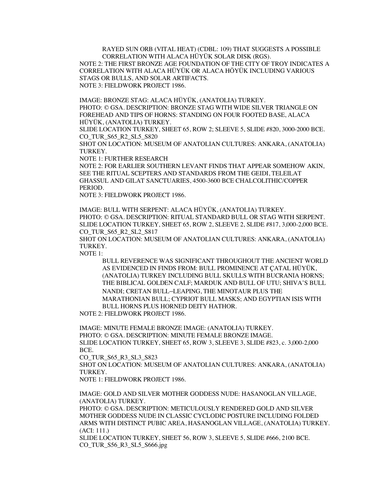RAYED SUN ORB (VITAL HEAT) (CDBL: 109) THAT SUGGESTS A POSSIBLE CORRELATION WITH ALACA HÜYÜK SOLAR DISK (RGS). NOTE 2: THE FIRST BRONZE AGE FOUNDATION OF THE CITY OF TROY INDICATES A CORRELATION WITH ALACA HÜYÜK OR ALACA HÖYÜK INCLUDING VARIOUS STAGS OR BULLS, AND SOLAR ARTIFACTS. NOTE 3: FIELDWORK PROJECT 1986.

IMAGE: BRONZE STAG: ALACA HÜYÜK, (ANATOLIA) TURKEY. PHOTO: © GSA. DESCRIPTION: BRONZE STAG WITH WIDE SILVER TRIANGLE ON FOREHEAD AND TIPS OF HORNS: STANDING ON FOUR FOOTED BASE, ALACA HÜYÜK, (ANATOLIA) TURKEY.

SLIDE LOCATION TURKEY, SHEET 65, ROW 2; SLEEVE 5, SLIDE #820, 3000-2000 BCE. CO\_TUR\_S65\_R2\_SL5\_S820

SHOT ON LOCATION: MUSEUM OF ANATOLIAN CULTURES: ANKARA, (ANATOLIA) TURKEY.

NOTE 1: FURTHER RESEARCH

NOTE 2: FOR EARLIER SOUTHERN LEVANT FINDS THAT APPEAR SOMEHOW AKIN, SEE THE RITUAL SCEPTERS AND STANDARDS FROM THE GEIDI, TELEILAT GHASSUL AND GILAT SANCTUARIES, 4500-3600 BCE CHALCOLITHIC/COPPER PERIOD.

NOTE 3: FIELDWORK PROJECT 1986.

IMAGE: BULL WITH SERPENT: ALACA HÜYÜK, (ANATOLIA) TURKEY. PHOTO: © GSA. DESCRIPTION: RITUAL STANDARD BULL OR STAG WITH SERPENT. SLIDE LOCATION TURKEY, SHEET 65, ROW 2, SLEEVE 2, SLIDE #817, 3,000-2,000 BCE. CO\_TUR\_S65\_R2\_SL2\_S817

SHOT ON LOCATION: MUSEUM OF ANATOLIAN CULTURES: ANKARA, (ANATOLIA) TURKEY.

NOTE 1:

BULL REVERENCE WAS SIGNIFICANT THROUGHOUT THE ANCIENT WORLD AS EVIDENCED IN FINDS FROM: BULL PROMINENCE AT ÇATAL HÜYÜK, (ANATOLIA) TURKEY INCLUDING BULL SKULLS WITH BUCRANIA HORNS; THE BIBLICAL GOLDEN CALF; MARDUK AND BULL OF UTU; SHIVA'S BULL NANDI; CRETAN BULL–LEAPING, THE MINOTAUR PLUS THE MARATHONIAN BULL; CYPRIOT BULL MASKS; AND EGYPTIAN ISIS WITH BULL HORNS PLUS HORNED DEITY HATHOR.

NOTE 2: FIELDWORK PROJECT 1986.

IMAGE: MINUTE FEMALE BRONZE IMAGE: (ANATOLIA) TURKEY. PHOTO: © GSA. DESCRIPTION: MINUTE FEMALE BRONZE IMAGE. SLIDE LOCATION TURKEY, SHEET 65, ROW 3, SLEEVE 3, SLIDE #823, c. 3,000-2,000 BCE.

CO\_TUR\_S65\_R3\_SL3\_S823

SHOT ON LOCATION: MUSEUM OF ANATOLIAN CULTURES: ANKARA, (ANATOLIA) TURKEY.

NOTE 1: FIELDWORK PROJECT 1986.

IMAGE: GOLD AND SILVER MOTHER GODDESS NUDE: HASANOGLAN VILLAGE, (ANATOLIA) TURKEY.

PHOTO: © GSA. DESCRIPTION: METICULOUSLY RENDERED GOLD AND SILVER MOTHER GODDESS NUDE IN CLASSIC CYCLODIC POSTURE INCLUDING FOLDED ARMS WITH DISTINCT PUBIC AREA, HASANOGLAN VILLAGE, (ANATOLIA) TURKEY. (ACI: 111.)

SLIDE LOCATION TURKEY, SHEET 56, ROW 3, SLEEVE 5, SLIDE #666, 2100 BCE. CO\_TUR\_S56\_R3\_SL5\_S666.jpg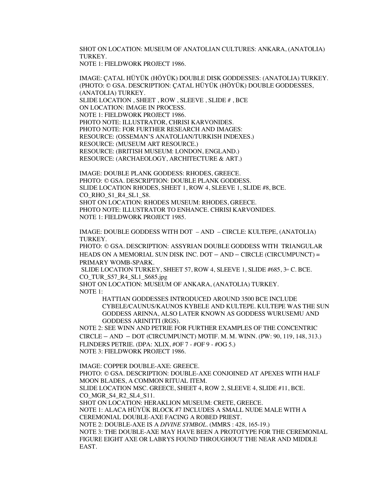SHOT ON LOCATION: MUSEUM OF ANATOLIAN CULTURES: ANKARA, (ANATOLIA) TURKEY. NOTE 1: FIELDWORK PROJECT 1986.

IMAGE: ÇATAL HÜYÜK (HÖYÜK) DOUBLE DISK GODDESSES: (ANATOLIA) TURKEY. (PHOTO: © GSA. DESCRIPTION: ÇATAL HÜYÜK (HÖYÜK) DOUBLE GODDESSES, (ANATOLIA) TURKEY. SLIDE LOCATION , SHEET , ROW , SLEEVE , SLIDE # , BCE ON LOCATION: IMAGE IN PROCESS. NOTE 1: FIELDWORK PROJECT 1986. PHOTO NOTE: ILLUSTRATOR, CHRISI KARVONIDES. PHOTO NOTE: FOR FURTHER RESEARCH AND IMAGES: RESOURCE: (OSSEMAN'S ANATOLIAN/TURKISH INDEXES.) RESOURCE: (MUSEUM ART RESOURCE.) RESOURCE: (BRITISH MUSEUM: LONDON, ENGLAND.) RESOURCE: (ARCHAEOLOGY, ARCHITECTURE & ART.)

IMAGE: DOUBLE PLANK GODDESS: RHODES, GREECE. PHOTO: © GSA. DESCRIPTION: DOUBLE PLANK GODDESS. SLIDE LOCATION RHODES, SHEET 1, ROW 4, SLEEVE 1, SLIDE #8, BCE. CO\_RHO\_S1\_R4\_SL1\_S8. SHOT ON LOCATION: RHODES MUSEUM: RHODES, GREECE. PHOTO NOTE: ILLUSTRATOR TO ENHANCE. CHRISI KARVONIDES. NOTE 1: FIELDWORK PROJECT 1985.

IMAGE: DOUBLE GODDESS WITH DOT – AND – CIRCLE: KULTEPE, (ANATOLIA) **TURKEY** 

PHOTO: © GSA. DESCRIPTION: ASSYRIAN DOUBLE GODDESS WITH TRIANGULAR HEADS ON A MEMORIAL SUN DISK INC. DOT – AND – CIRCLE (CIRCUMPUNCT) = PRIMARY WOMB-SPARK.

SLIDE LOCATION TURKEY, SHEET 57, ROW 4, SLEEVE 1, SLIDE  $\#685$ ,  $3\text{D}$  C. BCE. CO\_TUR\_S57\_R4\_SL1\_S685.jpg

SHOT ON LOCATION: MUSEUM OF ANKARA, (ANATOLIA) TURKEY. NOTE 1:

> HATTIAN GODDESSES INTRODUCED AROUND 3500 BCE INCLUDE CYBELE/CAUNUS/KAUNOS KYBELE AND KULTEPE. KULTEPE WAS THE SUN GODDESS ARINNA, ALSO LATER KNOWN AS GODDESS WURUSEMU AND GODDESS ARINITTI (RGS).

NOTE 2: SEE WINN AND PETRIE FOR FURTHER EXAMPLES OF THE CONCENTRIC CIRCLE – AND – DOT (CIRCUMPUNCT) MOTIF. M. M. WINN. (PW: 90, 119, 148, 313.) FLINDERS PETRIE. (DPA: XLIX, #OF 7 - #OF 9 - #OG 5.) NOTE 3: FIELDWORK PROJECT 1986.

IMAGE: COPPER DOUBLE-AXE: GREECE. PHOTO: © GSA. DESCRIPTION: DOUBLE-AXE CONJOINED AT APEXES WITH HALF MOON BLADES, A COMMON RITUAL ITEM. SLIDE LOCATION MSC. GREECE, SHEET 4, ROW 2, SLEEVE 4, SLIDE #11, BCE. CO MGR S4 R2 SL4 S11. SHOT ON LOCATION: HERAKLION MUSEUM: CRETE, GREECE. NOTE 1: ALACA HÜYÜK BLOCK #7 INCLUDES A SMALL NUDE MALE WITH A CEREMONIAL DOUBLE-AXE FACING A ROBED PRIEST. NOTE 2: DOUBLE-AXE IS A *DIVINE SYMBOL*. (MMRS : 428, 165-19.) NOTE 3: THE DOUBLE-AXE MAY HAVE BEEN A PROTOTYPE FOR THE CEREMONIAL FIGURE EIGHT AXE OR LABRYS FOUND THROUGHOUT THE NEAR AND MIDDLE EAST.